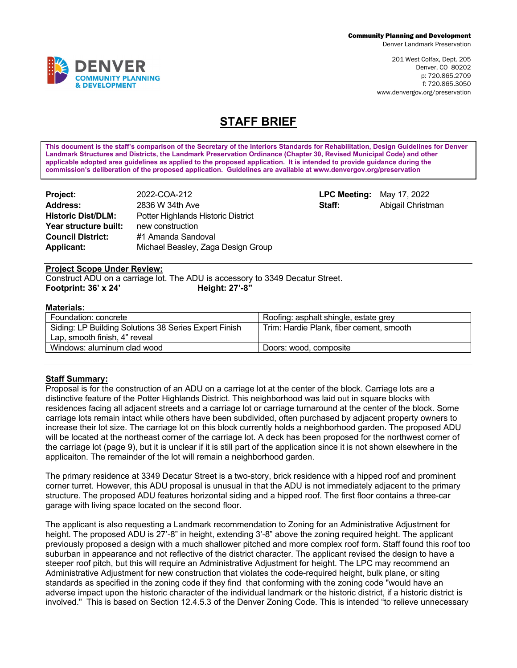Denver Landmark Preservation

201 West Colfax, Dept. 205 Denver, CO 80202 p: 720.865.2709 f: 720.865.3050 www.denvergov.org/preservation

# **STAFF BRIEF**

**This document is the staff's comparison of the Secretary of the Interiors Standards for Rehabilitation, Design Guidelines for Denver Landmark Structures and Districts, the Landmark Preservation Ordinance (Chapter 30, Revised Municipal Code) and other applicable adopted area guidelines as applied to the proposed application. It is intended to provide guidance during the commission's deliberation of the proposed application. Guidelines are available at www.denvergov.org/preservation**

| Project:                  | 2022-COA-212                       |
|---------------------------|------------------------------------|
| <b>Address:</b>           | 2836 W 34th Ave                    |
| <b>Historic Dist/DLM:</b> | Potter Highlands Historic District |
| Year structure built:     | new construction                   |
| <b>Council District:</b>  | #1 Amanda Sandoval                 |
| <b>Applicant:</b>         | Michael Beasley, Zaga Design Group |

**LPC Meeting:** May 17, 2022 **Staff: Abigail Christman** 

### **Project Scope Under Review:**

Construct ADU on a carriage lot. The ADU is accessory to 3349 Decatur Street. **Footprint: 36' x 24' Height: 27'-8"** 

#### **Materials:**

| Foundation: concrete                                  | Roofing: asphalt shingle, estate grey    |  |  |
|-------------------------------------------------------|------------------------------------------|--|--|
| Siding: LP Building Solutions 38 Series Expert Finish | Trim: Hardie Plank, fiber cement, smooth |  |  |
| Lap, smooth finish, 4" reveal                         |                                          |  |  |
| Windows: aluminum clad wood                           | Doors: wood, composite                   |  |  |
|                                                       |                                          |  |  |

### **Staff Summary:**

Proposal is for the construction of an ADU on a carriage lot at the center of the block. Carriage lots are a distinctive feature of the Potter Highlands District. This neighborhood was laid out in square blocks with residences facing all adjacent streets and a carriage lot or carriage turnaround at the center of the block. Some carriage lots remain intact while others have been subdivided, often purchased by adjacent property owners to increase their lot size. The carriage lot on this block currently holds a neighborhood garden. The proposed ADU will be located at the northeast corner of the carriage lot. A deck has been proposed for the northwest corner of the carriage lot (page 9), but it is unclear if it is still part of the application since it is not shown elsewhere in the applicaiton. The remainder of the lot will remain a neighborhood garden.

The primary residence at 3349 Decatur Street is a two-story, brick residence with a hipped roof and prominent corner turret. However, this ADU proposal is unusual in that the ADU is not immediately adjacent to the primary structure. The proposed ADU features horizontal siding and a hipped roof. The first floor contains a three-car garage with living space located on the second floor.

The applicant is also requesting a Landmark recommendation to Zoning for an Administrative Adjustment for height. The proposed ADU is 27'-8" in height, extending 3'-8" above the zoning required height. The applicant previously proposed a design with a much shallower pitched and more complex roof form. Staff found this roof too suburban in appearance and not reflective of the district character. The applicant revised the design to have a steeper roof pitch, but this will require an Administrative Adjustment for height. The LPC may recommend an Administrative Adjustment for new construction that violates the code-required height, bulk plane, or siting standards as specified in the zoning code if they find that conforming with the zoning code "would have an adverse impact upon the historic character of the individual landmark or the historic district, if a historic district is involved." This is based on Section 12.4.5.3 of the Denver Zoning Code. This is intended "to relieve unnecessary

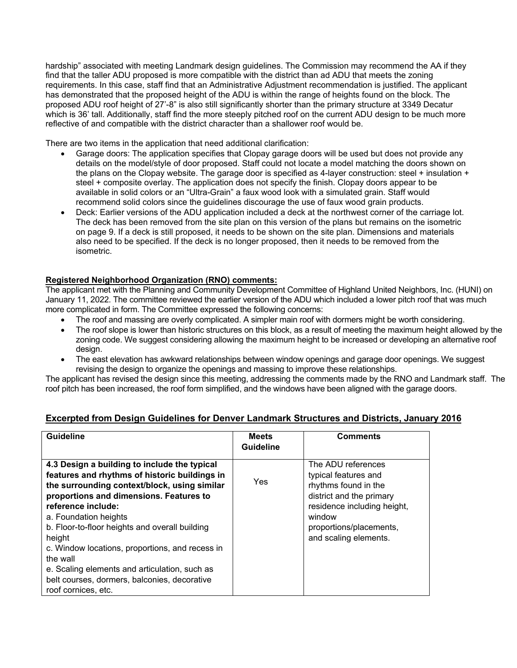hardship" associated with meeting Landmark design guidelines. The Commission may recommend the AA if they find that the taller ADU proposed is more compatible with the district than ad ADU that meets the zoning requirements. In this case, staff find that an Administrative Adjustment recommendation is justified. The applicant has demonstrated that the proposed height of the ADU is within the range of heights found on the block. The proposed ADU roof height of 27'-8" is also still significantly shorter than the primary structure at 3349 Decatur which is 36' tall. Additionally, staff find the more steeply pitched roof on the current ADU design to be much more reflective of and compatible with the district character than a shallower roof would be.

There are two items in the application that need additional clarification:

- Garage doors: The application specifies that Clopay garage doors will be used but does not provide any details on the model/style of door proposed. Staff could not locate a model matching the doors shown on the plans on the Clopay website. The garage door is specified as 4-layer construction: steel + insulation + steel + composite overlay. The application does not specify the finish. Clopay doors appear to be available in solid colors or an "Ultra-Grain" a faux wood look with a simulated grain. Staff would recommend solid colors since the guidelines discourage the use of faux wood grain products.
- Deck: Earlier versions of the ADU application included a deck at the northwest corner of the carriage lot. The deck has been removed from the site plan on this version of the plans but remains on the isometric on page 9. If a deck is still proposed, it needs to be shown on the site plan. Dimensions and materials also need to be specified. If the deck is no longer proposed, then it needs to be removed from the isometric.

## **Registered Neighborhood Organization (RNO) comments:**

The applicant met with the Planning and Community Development Committee of Highland United Neighbors, Inc. (HUNI) on January 11, 2022. The committee reviewed the earlier version of the ADU which included a lower pitch roof that was much more complicated in form. The Committee expressed the following concerns:

- The roof and massing are overly complicated. A simpler main roof with dormers might be worth considering.
- The roof slope is lower than historic structures on this block, as a result of meeting the maximum height allowed by the zoning code. We suggest considering allowing the maximum height to be increased or developing an alternative roof design.
- The east elevation has awkward relationships between window openings and garage door openings. We suggest revising the design to organize the openings and massing to improve these relationships.

The applicant has revised the design since this meeting, addressing the comments made by the RNO and Landmark staff. The roof pitch has been increased, the roof form simplified, and the windows have been aligned with the garage doors.

| <b>Guideline</b>                                                                                                                                                                                                                                                                                                                                                                                                                                                                           | <b>Meets</b><br><b>Guideline</b> | <b>Comments</b>                                                                                                                                                                             |
|--------------------------------------------------------------------------------------------------------------------------------------------------------------------------------------------------------------------------------------------------------------------------------------------------------------------------------------------------------------------------------------------------------------------------------------------------------------------------------------------|----------------------------------|---------------------------------------------------------------------------------------------------------------------------------------------------------------------------------------------|
| 4.3 Design a building to include the typical<br>features and rhythms of historic buildings in<br>the surrounding context/block, using similar<br>proportions and dimensions. Features to<br>reference include:<br>a. Foundation heights<br>b. Floor-to-floor heights and overall building<br>height<br>c. Window locations, proportions, and recess in<br>the wall<br>e. Scaling elements and articulation, such as<br>belt courses, dormers, balconies, decorative<br>roof cornices, etc. | Yes                              | The ADU references<br>typical features and<br>rhythms found in the<br>district and the primary<br>residence including height,<br>window<br>proportions/placements,<br>and scaling elements. |

## **Excerpted from Design Guidelines for Denver Landmark Structures and Districts, January 2016**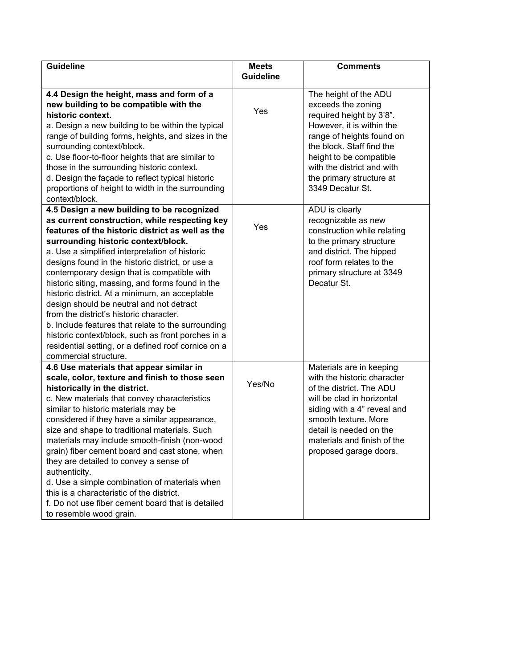| <b>Guideline</b>                                    | <b>Meets</b>     | <b>Comments</b>                             |
|-----------------------------------------------------|------------------|---------------------------------------------|
|                                                     | <b>Guideline</b> |                                             |
| 4.4 Design the height, mass and form of a           |                  |                                             |
| new building to be compatible with the              |                  | The height of the ADU<br>exceeds the zoning |
| historic context.                                   | Yes              | required height by 3'8".                    |
| a. Design a new building to be within the typical   |                  | However, it is within the                   |
| range of building forms, heights, and sizes in the  |                  | range of heights found on                   |
| surrounding context/block.                          |                  | the block. Staff find the                   |
| c. Use floor-to-floor heights that are similar to   |                  | height to be compatible                     |
| those in the surrounding historic context.          |                  | with the district and with                  |
| d. Design the façade to reflect typical historic    |                  | the primary structure at                    |
| proportions of height to width in the surrounding   |                  | 3349 Decatur St.                            |
| context/block.                                      |                  |                                             |
| 4.5 Design a new building to be recognized          |                  | ADU is clearly                              |
| as current construction, while respecting key       |                  | recognizable as new                         |
| features of the historic district as well as the    | Yes              | construction while relating                 |
| surrounding historic context/block.                 |                  | to the primary structure                    |
| a. Use a simplified interpretation of historic      |                  | and district. The hipped                    |
| designs found in the historic district, or use a    |                  | roof form relates to the                    |
| contemporary design that is compatible with         |                  | primary structure at 3349                   |
| historic siting, massing, and forms found in the    |                  | Decatur St.                                 |
| historic district. At a minimum, an acceptable      |                  |                                             |
| design should be neutral and not detract            |                  |                                             |
| from the district's historic character.             |                  |                                             |
| b. Include features that relate to the surrounding  |                  |                                             |
| historic context/block, such as front porches in a  |                  |                                             |
| residential setting, or a defined roof cornice on a |                  |                                             |
| commercial structure.                               |                  |                                             |
| 4.6 Use materials that appear similar in            |                  | Materials are in keeping                    |
| scale, color, texture and finish to those seen      | Yes/No           | with the historic character                 |
| historically in the district.                       |                  | of the district. The ADU                    |
| c. New materials that convey characteristics        |                  | will be clad in horizontal                  |
| similar to historic materials may be                |                  | siding with a 4" reveal and                 |
| considered if they have a similar appearance,       |                  | smooth texture. More                        |
| size and shape to traditional materials. Such       |                  | detail is needed on the                     |
| materials may include smooth-finish (non-wood       |                  | materials and finish of the                 |
| grain) fiber cement board and cast stone, when      |                  | proposed garage doors.                      |
| they are detailed to convey a sense of              |                  |                                             |
| authenticity.                                       |                  |                                             |
| d. Use a simple combination of materials when       |                  |                                             |
| this is a characteristic of the district.           |                  |                                             |
| f. Do not use fiber cement board that is detailed   |                  |                                             |
| to resemble wood grain.                             |                  |                                             |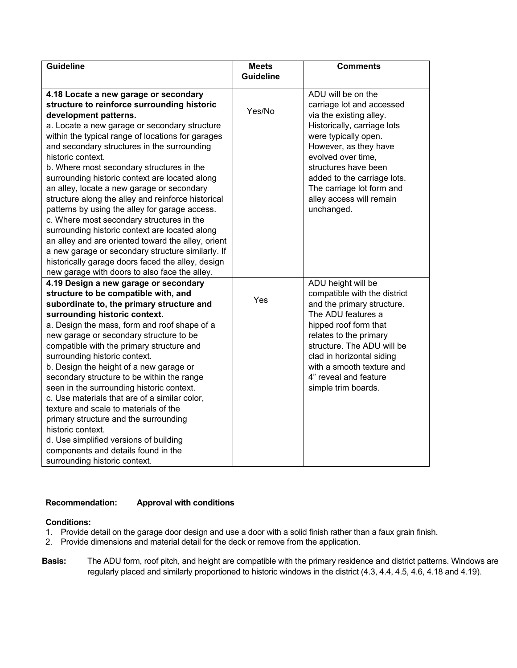| <b>Guideline</b>                                                                                                                                                                                                    | <b>Meets</b>     | <b>Comments</b>                                                                                                                   |
|---------------------------------------------------------------------------------------------------------------------------------------------------------------------------------------------------------------------|------------------|-----------------------------------------------------------------------------------------------------------------------------------|
|                                                                                                                                                                                                                     | <b>Guideline</b> |                                                                                                                                   |
| 4.18 Locate a new garage or secondary<br>structure to reinforce surrounding historic<br>development patterns.<br>a. Locate a new garage or secondary structure<br>within the typical range of locations for garages | Yes/No           | ADU will be on the<br>carriage lot and accessed<br>via the existing alley.<br>Historically, carriage lots<br>were typically open. |
| and secondary structures in the surrounding<br>historic context.<br>b. Where most secondary structures in the<br>surrounding historic context are located along                                                     |                  | However, as they have<br>evolved over time,<br>structures have been<br>added to the carriage lots.                                |
| an alley, locate a new garage or secondary<br>structure along the alley and reinforce historical<br>patterns by using the alley for garage access.<br>c. Where most secondary structures in the                     |                  | The carriage lot form and<br>alley access will remain<br>unchanged.                                                               |
| surrounding historic context are located along<br>an alley and are oriented toward the alley, orient<br>a new garage or secondary structure similarly. If<br>historically garage doors faced the alley, design      |                  |                                                                                                                                   |
| new garage with doors to also face the alley.                                                                                                                                                                       |                  |                                                                                                                                   |
| 4.19 Design a new garage or secondary<br>structure to be compatible with, and                                                                                                                                       |                  | ADU height will be<br>compatible with the district                                                                                |
| subordinate to, the primary structure and                                                                                                                                                                           | Yes              | and the primary structure.                                                                                                        |
| surrounding historic context.                                                                                                                                                                                       |                  | The ADU features a                                                                                                                |
| a. Design the mass, form and roof shape of a                                                                                                                                                                        |                  | hipped roof form that                                                                                                             |
| new garage or secondary structure to be                                                                                                                                                                             |                  | relates to the primary                                                                                                            |
| compatible with the primary structure and                                                                                                                                                                           |                  | structure. The ADU will be                                                                                                        |
| surrounding historic context.                                                                                                                                                                                       |                  | clad in horizontal siding                                                                                                         |
| b. Design the height of a new garage or                                                                                                                                                                             |                  | with a smooth texture and<br>4" reveal and feature                                                                                |
| secondary structure to be within the range<br>seen in the surrounding historic context.                                                                                                                             |                  | simple trim boards.                                                                                                               |
| c. Use materials that are of a similar color,                                                                                                                                                                       |                  |                                                                                                                                   |
| texture and scale to materials of the                                                                                                                                                                               |                  |                                                                                                                                   |
| primary structure and the surrounding                                                                                                                                                                               |                  |                                                                                                                                   |
| historic context.                                                                                                                                                                                                   |                  |                                                                                                                                   |
| d. Use simplified versions of building                                                                                                                                                                              |                  |                                                                                                                                   |
| components and details found in the                                                                                                                                                                                 |                  |                                                                                                                                   |
| surrounding historic context.                                                                                                                                                                                       |                  |                                                                                                                                   |

## **Recommendation: Approval with conditions**

### **Conditions:**

- 1. Provide detail on the garage door design and use a door with a solid finish rather than a faux grain finish.
- 2. Provide dimensions and material detail for the deck or remove from the application.
- **Basis:** The ADU form, roof pitch, and height are compatible with the primary residence and district patterns. Windows are regularly placed and similarly proportioned to historic windows in the district (4.3, 4.4, 4.5, 4.6, 4.18 and 4.19).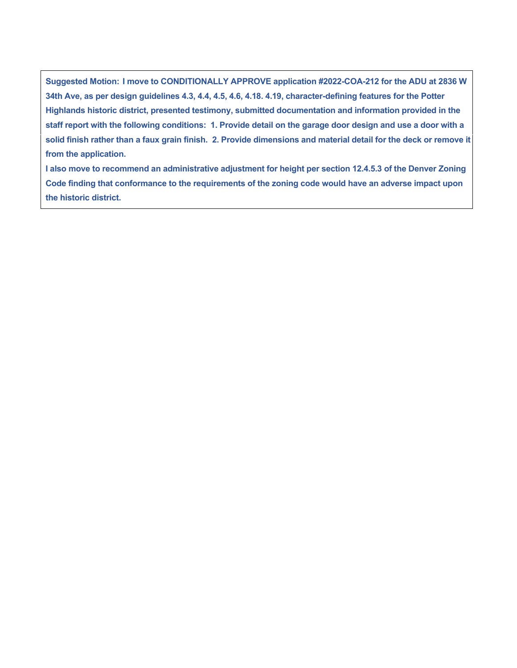**Suggested Motion: I move to CONDITIONALLY APPROVE application #2022-COA-212 for the ADU at 2836 W 34th Ave, as per design guidelines 4.3, 4.4, 4.5, 4.6, 4.18. 4.19, character-defining features for the Potter Highlands historic district, presented testimony, submitted documentation and information provided in the staff report with the following conditions: 1. Provide detail on the garage door design and use a door with a solid finish rather than a faux grain finish. 2. Provide dimensions and material detail for the deck or remove it from the application.** 

**I also move to recommend an administrative adjustment for height per section 12.4.5.3 of the Denver Zoning Code finding that conformance to the requirements of the zoning code would have an adverse impact upon the historic district.**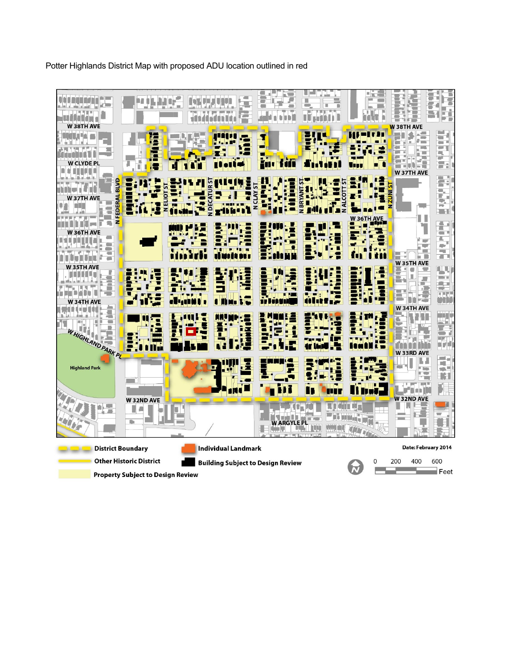Potter Highlands District Map with proposed ADU location outlined in red